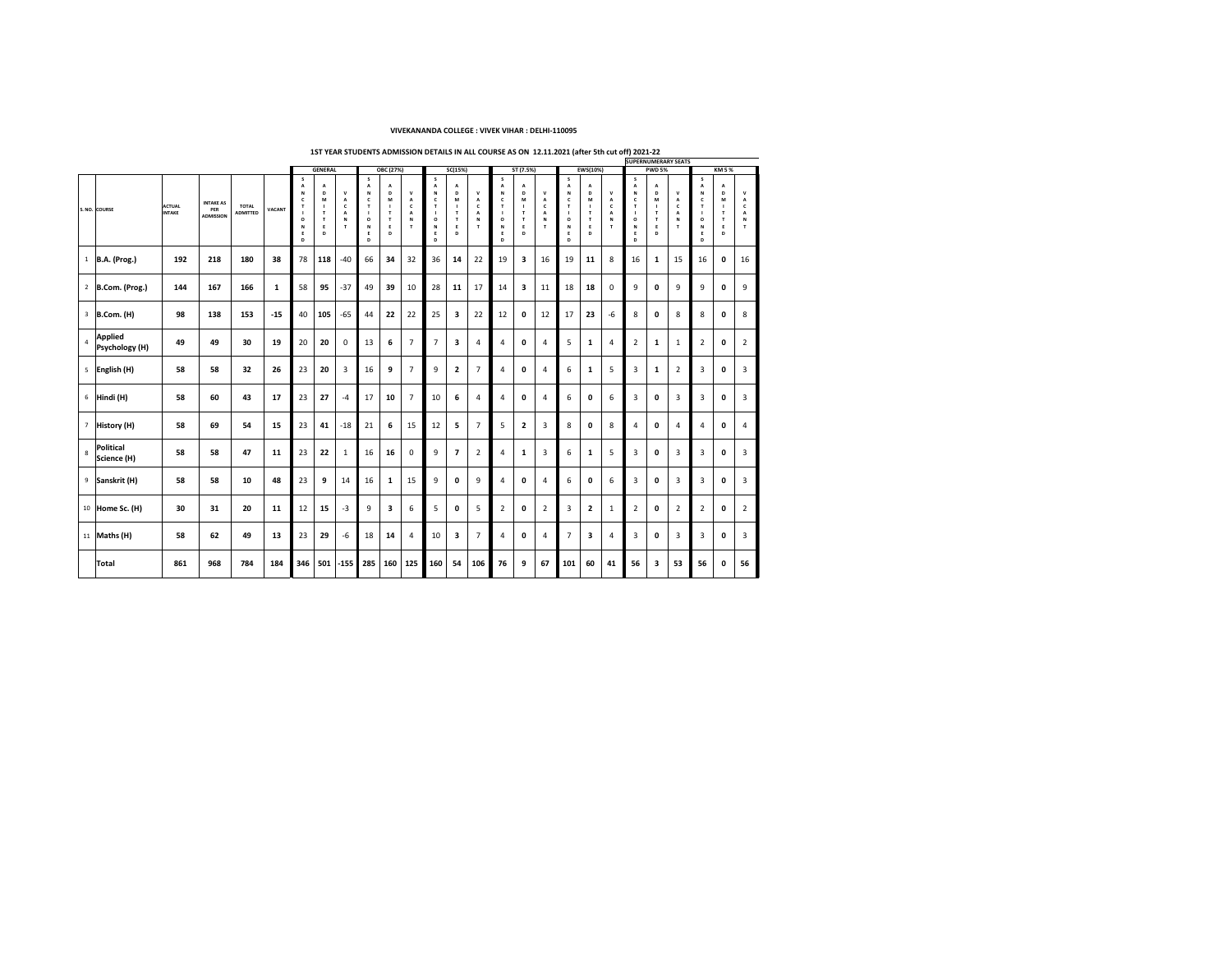|    |                    |               |                  |                 |               |                |                |                                  |            | <b>SUPERNUMERARY SEATS</b>           |                     |                              |                          |     |            |                                           |                          |                     |                          |                          |             |                          |    |                         |                         |             |
|----|--------------------|---------------|------------------|-----------------|---------------|----------------|----------------|----------------------------------|------------|--------------------------------------|---------------------|------------------------------|--------------------------|-----|------------|-------------------------------------------|--------------------------|---------------------|--------------------------|--------------------------|-------------|--------------------------|----|-------------------------|-------------------------|-------------|
|    |                    |               |                  |                 |               |                | <b>GENERAL</b> |                                  |            | <b>OBC (27%)</b>                     |                     |                              | SC(15%)                  |     |            | ST(7.5%)                                  |                          |                     | <b>EWS(10%)</b>          |                          |             | <b>PWD 5%</b>            |    |                         | <b>KM 5 %</b>           |             |
|    |                    |               |                  |                 |               |                |                |                                  |            |                                      |                     |                              |                          |     |            |                                           |                          |                     |                          |                          |             |                          |    |                         |                         |             |
|    |                    |               |                  |                 |               |                |                |                                  |            |                                      |                     |                              | $\overline{\phantom{a}}$ |     | $\sqrt{ }$ |                                           |                          |                     |                          |                          |             | $\overline{\phantom{a}}$ |    | $\sqrt{2}$              |                         |             |
|    |                    |               |                  |                 |               |                |                |                                  |            | $\blacksquare$<br>$\mathbf{L}$       |                     |                              | D<br>n Л                 |     |            |                                           |                          |                     | D                        |                          | N           |                          |    |                         |                         |             |
|    |                    | <b>ACTUAL</b> | <b>INTAKE AS</b> | <b>TOTAL</b>    |               |                | M              | $\boldsymbol{\mathcal{F}}$       |            | M                                    |                     |                              |                          |     |            | M                                         |                          |                     | M                        |                          |             | M                        |    |                         | M                       |             |
|    | S. NO. COURSE      | <b>INTAKE</b> | <b>PER</b>       | <b>ADMITTED</b> | <b>VACANT</b> |                |                | $\overline{\phantom{a}}$         |            |                                      | $\sqrt{2}$          |                              |                          |     |            |                                           |                          |                     |                          | $\overline{\phantom{a}}$ |             |                          |    |                         |                         |             |
|    |                    |               | <b>ADMISSION</b> |                 |               | $\overline{O}$ |                | N                                |            |                                      |                     | $\mathbf O$                  |                          |     |            |                                           | <b>NI</b>                |                     |                          |                          |             |                          |    |                         |                         |             |
|    |                    |               |                  |                 |               |                |                |                                  |            |                                      |                     |                              |                          |     |            |                                           |                          |                     |                          |                          | <b>N</b>    |                          |    |                         |                         |             |
|    |                    |               |                  |                 |               |                |                |                                  |            |                                      |                     |                              |                          |     |            |                                           |                          |                     |                          |                          |             |                          |    |                         |                         |             |
|    |                    |               |                  |                 |               |                |                |                                  |            |                                      |                     | D                            |                          |     | D          |                                           |                          |                     |                          |                          | D           |                          |    |                         |                         |             |
|    |                    |               |                  |                 |               |                |                |                                  |            |                                      |                     |                              |                          |     |            |                                           |                          |                     |                          |                          |             |                          |    |                         |                         |             |
|    | B.A. (Prog.)       | 192           | 218              | 180             | 38            | 78             | 118            | $-40$                            | 66         | 34                                   | 32                  | 36                           | 14                       | 22  | 19         | $\begin{array}{c} \textbf{2} \end{array}$ | 16                       | 19                  | 11                       | 8                        | 16          | $\mathbf{L}$             | 15 | 16                      | $\overline{\mathbf{0}}$ | 16          |
|    |                    |               |                  |                 |               |                |                |                                  |            |                                      |                     |                              |                          |     |            |                                           |                          |                     |                          |                          |             |                          |    |                         |                         |             |
|    |                    |               |                  |                 |               |                |                |                                  |            |                                      |                     |                              |                          |     |            |                                           |                          |                     |                          |                          |             |                          |    |                         |                         |             |
|    | B.Com. (Prog.)     | 144           | 167              | 166             |               | 58             | 95             | $-37$                            | 49         | 39                                   | 10                  | 28                           | 11                       | 17  | 14         | $\bigcap$                                 | 11                       | 18                  | 18                       | $\mathbf 0$              | 9           | $\overline{\mathbf{0}}$  |    | $\overline{\mathbf{u}}$ |                         | $\mathbf Q$ |
|    |                    |               |                  |                 |               |                |                |                                  |            |                                      |                     |                              |                          | — / |            |                                           |                          |                     |                          |                          |             |                          |    |                         |                         |             |
|    |                    |               |                  |                 |               |                |                |                                  |            |                                      |                     |                              |                          |     |            |                                           |                          |                     |                          |                          |             |                          |    |                         |                         |             |
|    |                    |               |                  |                 |               |                |                |                                  |            |                                      | $\sim$ $\sim$       |                              |                          |     |            |                                           |                          |                     |                          |                          |             |                          |    |                         |                         |             |
|    | $\vert$ B.Com. (H) | 98            | 138              | 153             | $-15$         | 40             | 105            | $-65$                            | 44         | 22                                   | 22                  | 25                           |                          | 22  | $\perp$    | $\bf{O}$                                  | 12                       | د که ا              | 23                       | -0                       | $\mathbf O$ |                          |    | $\mathbf\Omega$         |                         |             |
|    |                    |               |                  |                 |               |                |                |                                  |            |                                      |                     |                              |                          |     |            |                                           |                          |                     |                          |                          |             |                          |    |                         |                         |             |
|    | Applied            |               |                  |                 |               |                |                |                                  |            |                                      |                     |                              |                          |     |            |                                           |                          |                     |                          |                          |             |                          |    |                         |                         |             |
|    |                    | 49            | 49               | 30              | 19            | 20             | 20             | $\overline{\mathbf{0}}$          | 13         | $\boldsymbol{\sigma}$                |                     |                              |                          |     |            |                                           |                          |                     |                          |                          |             |                          |    |                         |                         |             |
|    | Psychology (H)     |               |                  |                 |               |                |                |                                  |            |                                      |                     |                              |                          |     |            |                                           |                          |                     |                          |                          |             |                          |    |                         |                         |             |
|    |                    |               |                  |                 |               |                |                |                                  |            |                                      |                     |                              |                          |     |            |                                           |                          |                     |                          |                          |             |                          |    |                         |                         |             |
|    | <b>English (H)</b> | 58            | 58               | 32              | 26            | 23             | 20             |                                  | 16         | 9                                    |                     |                              |                          |     |            | $\boldsymbol{0}$                          | $\leftarrow$             |                     |                          |                          |             |                          |    |                         |                         |             |
|    |                    |               |                  |                 |               |                |                | $\overline{\phantom{0}}$         |            |                                      |                     |                              |                          |     |            |                                           |                          |                     |                          |                          |             |                          |    |                         |                         |             |
|    |                    |               |                  |                 |               |                |                |                                  |            |                                      |                     |                              |                          |     |            |                                           |                          |                     |                          |                          |             |                          |    |                         |                         |             |
|    |                    |               |                  |                 |               |                |                |                                  | $\sqrt{2}$ |                                      |                     |                              |                          |     |            |                                           |                          |                     |                          |                          |             |                          |    |                         |                         |             |
|    | Hindi (H)          | 58            | 60               | 43              | 17            | 23             | 27             | $-1$                             |            | 10                                   |                     | 10                           | $\bullet$                |     |            | $\mathbf 0$                               | 4                        |                     | $\boldsymbol{0}$         |                          |             |                          |    |                         |                         |             |
|    |                    |               |                  |                 |               |                |                |                                  |            |                                      |                     |                              |                          |     |            |                                           |                          |                     |                          |                          |             |                          |    |                         |                         |             |
|    |                    |               |                  |                 |               |                |                |                                  |            |                                      |                     |                              |                          |     |            |                                           |                          |                     |                          |                          |             |                          |    |                         |                         |             |
|    | History (H)        | 58            | 69               | 54              | 15            | 23             | 41             | $-18$                            | 21         | $\bullet$                            | 1 <sup>C</sup><br>T | 12                           |                          |     |            |                                           | $\overline{\phantom{0}}$ |                     | $\mathbf 0$              | $\mathbf O$              |             |                          |    |                         |                         |             |
|    |                    |               |                  |                 |               |                |                |                                  |            |                                      |                     |                              |                          |     |            |                                           |                          |                     |                          |                          |             |                          |    |                         |                         |             |
|    |                    |               |                  |                 |               |                |                |                                  |            |                                      |                     |                              |                          |     |            |                                           |                          |                     |                          |                          |             |                          |    |                         |                         |             |
|    | Political          | 58            | 58               | 47              | <b>11</b>     | 23             | 22             |                                  | 16         | 16                                   | $\bf{O}$            | $\overline{a}$               |                          |     |            |                                           |                          |                     |                          |                          |             |                          |    |                         |                         |             |
|    | Science (H)        |               |                  |                 |               |                |                |                                  |            |                                      |                     |                              |                          |     |            |                                           |                          |                     |                          |                          |             |                          |    |                         |                         |             |
|    |                    |               |                  |                 |               |                |                |                                  |            |                                      |                     |                              |                          |     |            |                                           |                          |                     |                          |                          |             |                          |    |                         |                         |             |
|    |                    |               |                  |                 |               |                |                |                                  |            |                                      |                     |                              |                          |     |            |                                           |                          |                     |                          |                          |             |                          |    |                         |                         |             |
|    | Sanskrit (H)       | 58            | 58               | 10              | 48            | 23             | 9              | 14                               | 16         | $\overline{\phantom{a}}$             | 15                  | 9                            | $\boldsymbol{0}$         |     |            | $\boldsymbol{0}$                          | 4                        |                     | $\mathbf 0$              |                          |             | $\mathbf{U}$             |    |                         |                         |             |
|    |                    |               |                  |                 |               |                |                |                                  |            |                                      |                     |                              |                          |     |            |                                           |                          |                     |                          |                          |             |                          |    |                         |                         |             |
|    |                    |               |                  |                 |               |                |                |                                  |            |                                      |                     |                              |                          |     |            |                                           |                          |                     |                          |                          |             |                          |    |                         |                         |             |
|    | 10 Home Sc. (H)    | 30            | 31               | 20              | <b>11</b>     | 12<br>$\perp$  | 15             | -3                               |            | $\mathbf{\mathbf{\mathcal{D}}}$<br>J | $\mathbf U$         |                              | $\boldsymbol{0}$         |     |            | $\bf{0}$                                  |                          |                     | $\epsilon$               |                          |             |                          |    |                         |                         |             |
|    |                    |               |                  |                 |               |                |                |                                  |            |                                      |                     |                              |                          |     |            |                                           |                          |                     |                          |                          |             |                          |    |                         |                         |             |
|    |                    |               |                  |                 |               |                |                |                                  |            |                                      |                     |                              |                          |     |            |                                           |                          |                     |                          |                          |             |                          |    |                         |                         |             |
| ┹┹ | Maths (H)          | 58            | 62               | 49              | 13            | 23             | 29             | $-6$                             | 18         | 14                                   |                     | 10                           |                          |     |            | $\mathbf 0$                               | 4                        |                     | $\mathbf{D}$             |                          |             | $\boldsymbol{0}$         |    |                         |                         |             |
|    |                    |               |                  |                 |               |                |                |                                  |            |                                      |                     |                              |                          |     |            |                                           |                          |                     | $\overline{\phantom{a}}$ |                          |             |                          |    |                         |                         |             |
|    |                    |               |                  |                 |               |                |                |                                  |            |                                      |                     |                              |                          |     |            |                                           |                          |                     |                          |                          |             |                          |    |                         |                         |             |
|    |                    |               |                  |                 |               |                |                |                                  |            |                                      |                     |                              |                          |     |            |                                           |                          |                     |                          |                          |             |                          |    |                         |                         |             |
|    | Total              | 861           | 968              | 784             | 184           | 346            | 501            | $\vert$ -155 $\vert$ 285 $\vert$ |            | 160                                  |                     | $\mid$ 125 $\mid$ 160 $\mid$ | 54                       | 106 | 76         | $\overline{9}$                            | 67                       | $\vert$ 101 $\vert$ | 60                       | 41                       | 56          | $\overline{\mathbf{3}}$  | 53 | 56                      | $\overline{\mathbf{0}}$ | 56          |
|    |                    |               |                  |                 |               |                |                |                                  |            |                                      |                     |                              |                          |     |            |                                           |                          |                     |                          |                          |             |                          |    |                         |                         |             |

## **VIVEKANANDA COLLEGE : VIVEK VIHAR : DELHI-110095**

 **1ST YEAR STUDENTS ADMISSION DETAILS IN ALL COURSE AS ON 12.11.2021 (after 5th cut off) 2021-22**

|  | t off) 2021-22 |
|--|----------------|
|  |                |